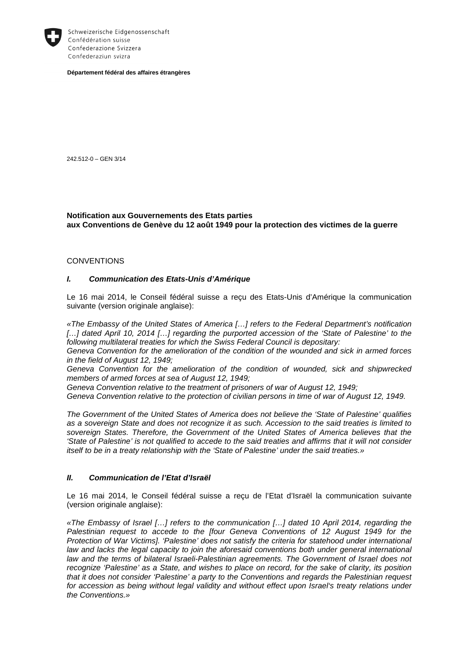

Schweizerische Eidgenossenschaft Confédération suisse Confederazione Svizzera Confederaziun svizra

**Département fédéral des affaires étrangères** 

242.512-0 – GEN 3/14

# **Notification aux Gouvernements des Etats parties aux Conventions de Genève du 12 août 1949 pour la protection des victimes de la guerre**

#### **CONVENTIONS**

#### **I. Communication des Etats-Unis d'Amérique**

Le 16 mai 2014, le Conseil fédéral suisse a reçu des Etats-Unis d'Amérique la communication suivante (version originale anglaise):

«The Embassy of the United States of America […] refers to the Federal Department's notification [...] dated April 10, 2014 [...] regarding the purported accession of the 'State of Palestine' to the following multilateral treaties for which the Swiss Federal Council is depositary:

Geneva Convention for the amelioration of the condition of the wounded and sick in armed forces in the field of August 12, 1949;

Geneva Convention for the amelioration of the condition of wounded, sick and shipwrecked members of armed forces at sea of August 12, 1949;

Geneva Convention relative to the treatment of prisoners of war of August 12, 1949;

Geneva Convention relative to the protection of civilian persons in time of war of August 12, 1949.

The Government of the United States of America does not believe the 'State of Palestine' qualifies as a sovereign State and does not recognize it as such. Accession to the said treaties is limited to sovereign States. Therefore, the Government of the United States of America believes that the 'State of Palestine' is not qualified to accede to the said treaties and affirms that it will not consider itself to be in a treaty relationship with the 'State of Palestine' under the said treaties.»

### **II. Communication de l'Etat d'Israël**

Le 16 mai 2014, le Conseil fédéral suisse a reçu de l'Etat d'Israël la communication suivante (version originale anglaise):

«The Embassy of Israel […] refers to the communication […] dated 10 April 2014, regarding the Palestinian request to accede to the [four Geneva Conventions of 12 August 1949 for the Protection of War Victims]. 'Palestine' does not satisfy the criteria for statehood under international law and lacks the legal capacity to join the aforesaid conventions both under general international law and the terms of bilateral Israeli-Palestinian agreements. The Government of Israel does not recognize 'Palestine' as a State, and wishes to place on record, for the sake of clarity, its position that it does not consider 'Palestine' a party to the Conventions and regards the Palestinian request for accession as being without legal validity and without effect upon Israel's treaty relations under the Conventions.»